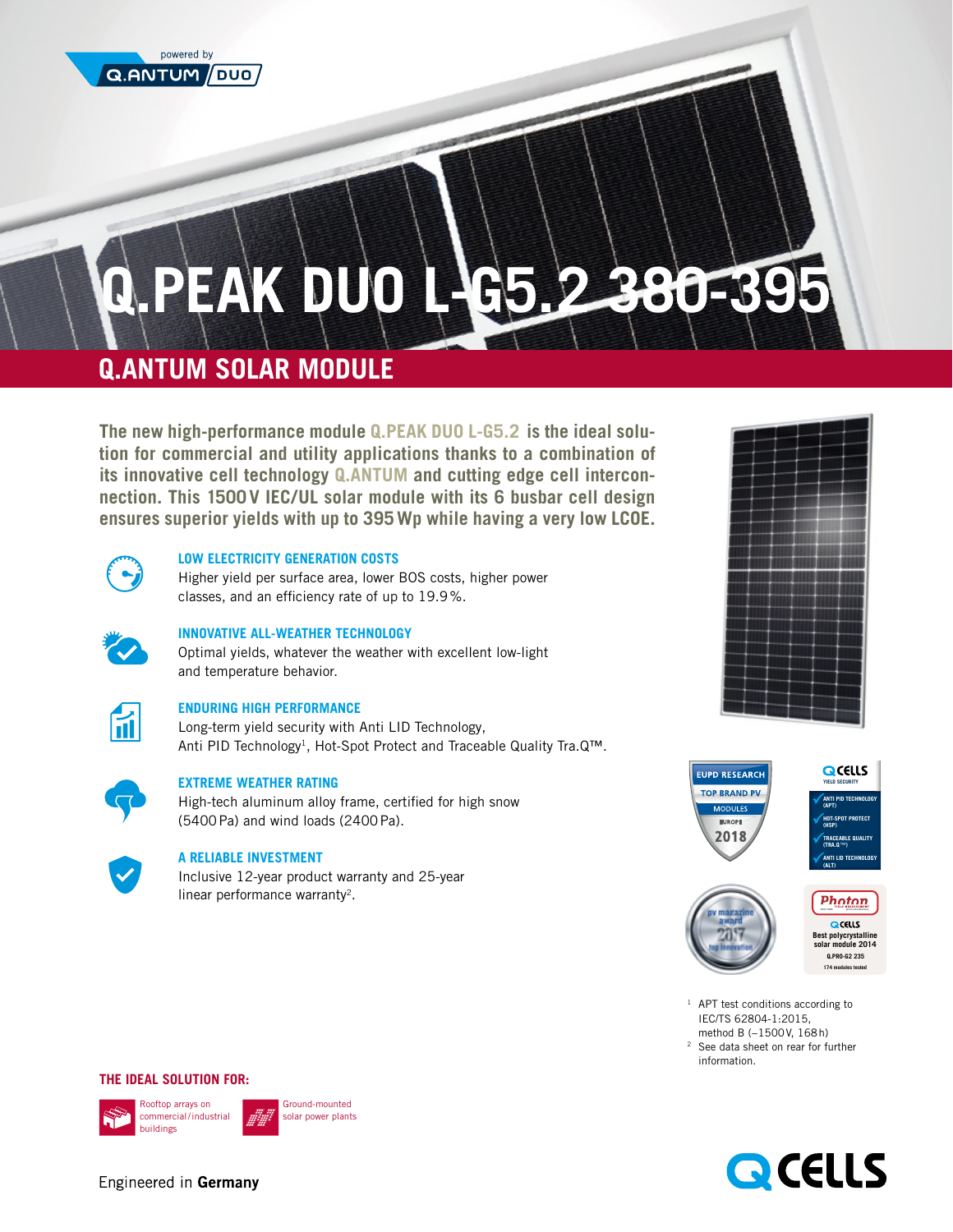

# **Q.PEAK DUO L-G5. 2 380-395**

# **Q.ANTUM SOLAR MODULE**

**The new high-performance module Q.PEAK DUO L-G5.2 is the ideal solution for commercial and utility applications thanks to a combination of its innovative cell technology Q.ANTUM and cutting edge cell interconnection. This 1500V IEC/UL solar module with its 6 busbar cell design ensures superior yields with up to 395Wp while having a very low LCOE.** 



# **LOW ELECTRICITY GENERATION COSTS**

Higher yield per surface area, lower BOS costs, higher power classes, and an efficiency rate of up to 19.9%.

## **INNOVATIVE ALL-WEATHER TECHNOLOGY**

Optimal yields, whatever the weather with excellent low-light and temperature behavior.



## **ENDURING HIGH PERFORMANCE**

Long-term yield security with Anti LID Technology, Anti PID Technology<sup>1</sup>, Hot-Spot Protect and Traceable Quality Tra.Q™.



## **EXTREME WEATHER RATING**

High-tech aluminum alloy frame, certified for high snow (5400Pa) and wind loads (2400Pa).



## **A RELIABLE INVESTMENT**

Inclusive 12-year product warranty and 25-year linear performance warranty<sup>2</sup>.







**174 modules tested** 

<sup>2</sup> See data sheet on rear for further information.

#### **THE IDEAL SOLUTION FOR:**





Ground-mounted olar power plants